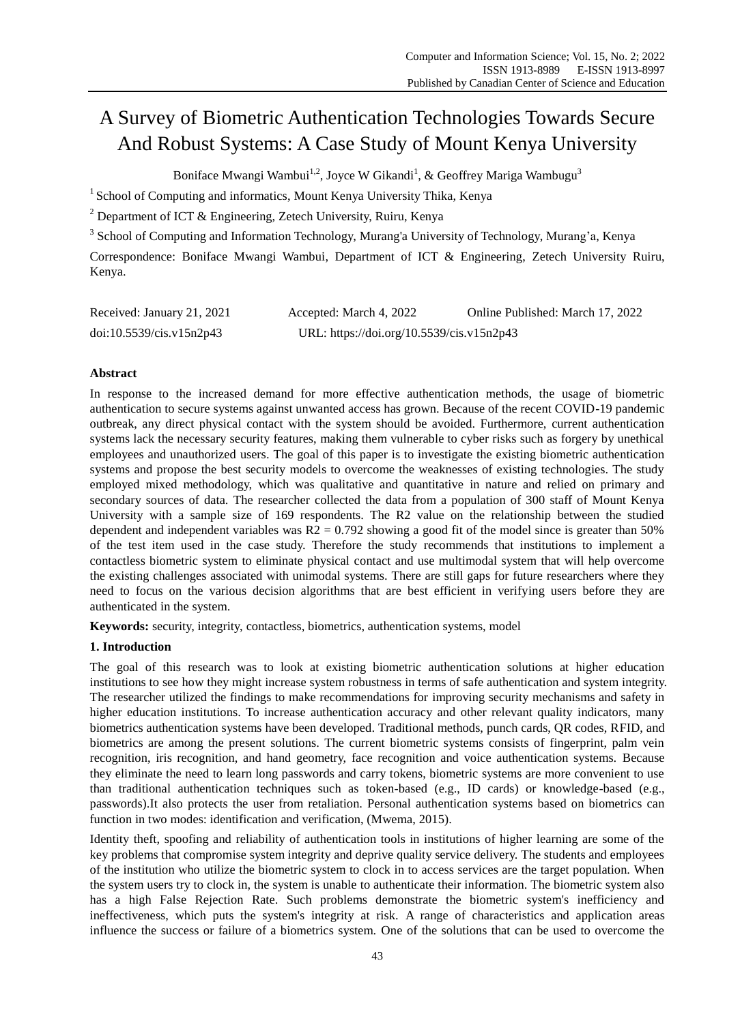# A Survey of Biometric Authentication Technologies Towards Secure And Robust Systems: A Case Study of Mount Kenya University

Boniface Mwangi Wambui<sup>1,2</sup>, Joyce W Gikandi<sup>1</sup>, & Geoffrey Mariga Wambugu<sup>3</sup>

<sup>1</sup> School of Computing and informatics, Mount Kenya University Thika, Kenya

<sup>2</sup> Department of ICT & Engineering, Zetech University, Ruiru, Kenya

<sup>3</sup> School of Computing and Information Technology, Murang'a University of Technology, Murang'a, Kenya

Correspondence: Boniface Mwangi Wambui, Department of ICT & Engineering, Zetech University Ruiru, Kenya.

| Received: January 21, 2021 | Accepted: March 4, 2022                   | Online Published: March 17, 2022 |
|----------------------------|-------------------------------------------|----------------------------------|
| doi:10.5539/cis.v15n2p43   | URL: https://doi.org/10.5539/cis.v15n2p43 |                                  |

# **Abstract**

In response to the increased demand for more effective authentication methods, the usage of biometric authentication to secure systems against unwanted access has grown. Because of the recent COVID-19 pandemic outbreak, any direct physical contact with the system should be avoided. Furthermore, current authentication systems lack the necessary security features, making them vulnerable to cyber risks such as forgery by unethical employees and unauthorized users. The goal of this paper is to investigate the existing biometric authentication systems and propose the best security models to overcome the weaknesses of existing technologies. The study employed mixed methodology, which was qualitative and quantitative in nature and relied on primary and secondary sources of data. The researcher collected the data from a population of 300 staff of Mount Kenya University with a sample size of 169 respondents. The R2 value on the relationship between the studied dependent and independent variables was  $R2 = 0.792$  showing a good fit of the model since is greater than 50% of the test item used in the case study. Therefore the study recommends that institutions to implement a contactless biometric system to eliminate physical contact and use multimodal system that will help overcome the existing challenges associated with unimodal systems. There are still gaps for future researchers where they need to focus on the various decision algorithms that are best efficient in verifying users before they are authenticated in the system.

**Keywords:** security, integrity, contactless, biometrics, authentication systems, model

# **1. Introduction**

The goal of this research was to look at existing biometric authentication solutions at higher education institutions to see how they might increase system robustness in terms of safe authentication and system integrity. The researcher utilized the findings to make recommendations for improving security mechanisms and safety in higher education institutions. To increase authentication accuracy and other relevant quality indicators, many biometrics authentication systems have been developed. Traditional methods, punch cards, QR codes, RFID, and biometrics are among the present solutions. The current biometric systems consists of fingerprint, palm vein recognition, iris recognition, and hand geometry, face recognition and voice authentication systems. Because they eliminate the need to learn long passwords and carry tokens, biometric systems are more convenient to use than traditional authentication techniques such as token-based (e.g., ID cards) or knowledge-based (e.g., passwords).It also protects the user from retaliation. Personal authentication systems based on biometrics can function in two modes: identification and verification, (Mwema, 2015).

Identity theft, spoofing and reliability of authentication tools in institutions of higher learning are some of the key problems that compromise system integrity and deprive quality service delivery. The students and employees of the institution who utilize the biometric system to clock in to access services are the target population. When the system users try to clock in, the system is unable to authenticate their information. The biometric system also has a high False Rejection Rate. Such problems demonstrate the biometric system's inefficiency and ineffectiveness, which puts the system's integrity at risk. A range of characteristics and application areas influence the success or failure of a biometrics system. One of the solutions that can be used to overcome the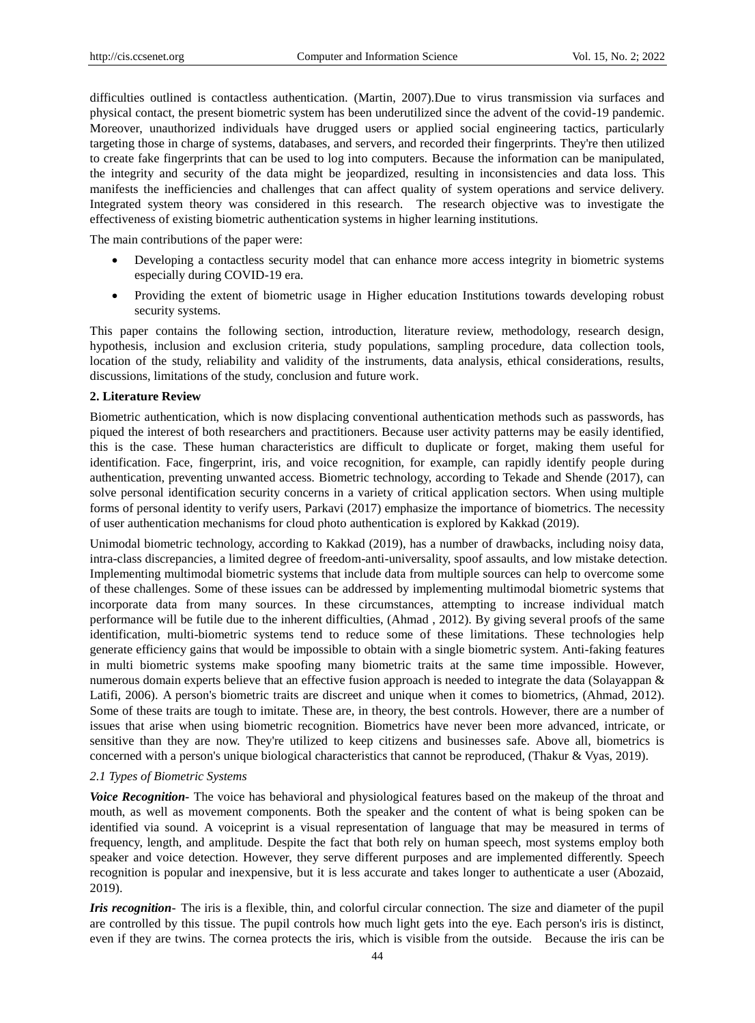difficulties outlined is contactless authentication. (Martin, 2007).Due to virus transmission via surfaces and physical contact, the present biometric system has been underutilized since the advent of the covid-19 pandemic. Moreover, unauthorized individuals have drugged users or applied social engineering tactics, particularly targeting those in charge of systems, databases, and servers, and recorded their fingerprints. They're then utilized to create fake fingerprints that can be used to log into computers. Because the information can be manipulated, the integrity and security of the data might be jeopardized, resulting in inconsistencies and data loss. This manifests the inefficiencies and challenges that can affect quality of system operations and service delivery. Integrated system theory was considered in this research. The research objective was to investigate the effectiveness of existing biometric authentication systems in higher learning institutions.

The main contributions of the paper were:

- Developing a contactless security model that can enhance more access integrity in biometric systems especially during COVID-19 era.
- Providing the extent of biometric usage in Higher education Institutions towards developing robust security systems.

This paper contains the following section, introduction, literature review, methodology, research design, hypothesis, inclusion and exclusion criteria, study populations, sampling procedure, data collection tools, location of the study, reliability and validity of the instruments, data analysis, ethical considerations, results, discussions, limitations of the study, conclusion and future work.

#### **2. Literature Review**

Biometric authentication, which is now displacing conventional authentication methods such as passwords, has piqued the interest of both researchers and practitioners. Because user activity patterns may be easily identified, this is the case. These human characteristics are difficult to duplicate or forget, making them useful for identification. Face, fingerprint, iris, and voice recognition, for example, can rapidly identify people during authentication, preventing unwanted access. Biometric technology, according to Tekade and Shende (2017), can solve personal identification security concerns in a variety of critical application sectors. When using multiple forms of personal identity to verify users, Parkavi (2017) emphasize the importance of biometrics. The necessity of user authentication mechanisms for cloud photo authentication is explored by Kakkad (2019).

Unimodal biometric technology, according to Kakkad (2019), has a number of drawbacks, including noisy data, intra-class discrepancies, a limited degree of freedom-anti-universality, spoof assaults, and low mistake detection. Implementing multimodal biometric systems that include data from multiple sources can help to overcome some of these challenges. Some of these issues can be addressed by implementing multimodal biometric systems that incorporate data from many sources. In these circumstances, attempting to increase individual match performance will be futile due to the inherent difficulties, (Ahmad , 2012). By giving several proofs of the same identification, multi-biometric systems tend to reduce some of these limitations. These technologies help generate efficiency gains that would be impossible to obtain with a single biometric system. Anti-faking features in multi biometric systems make spoofing many biometric traits at the same time impossible. However, numerous domain experts believe that an effective fusion approach is needed to integrate the data (Solayappan & Latifi, 2006). A person's biometric traits are discreet and unique when it comes to biometrics, (Ahmad, 2012). Some of these traits are tough to imitate. These are, in theory, the best controls. However, there are a number of issues that arise when using biometric recognition. Biometrics have never been more advanced, intricate, or sensitive than they are now. They're utilized to keep citizens and businesses safe. Above all, biometrics is concerned with a person's unique biological characteristics that cannot be reproduced, (Thakur & Vyas, 2019).

#### *2.1 Types of Biometric Systems*

*Voice Recognition-* The voice has behavioral and physiological features based on the makeup of the throat and mouth, as well as movement components. Both the speaker and the content of what is being spoken can be identified via sound. A voiceprint is a visual representation of language that may be measured in terms of frequency, length, and amplitude. Despite the fact that both rely on human speech, most systems employ both speaker and voice detection. However, they serve different purposes and are implemented differently. Speech recognition is popular and inexpensive, but it is less accurate and takes longer to authenticate a user (Abozaid, 2019).

*Iris recognition*- The iris is a flexible, thin, and colorful circular connection. The size and diameter of the pupil are controlled by this tissue. The pupil controls how much light gets into the eye. Each person's iris is distinct, even if they are twins. The cornea protects the iris, which is visible from the outside. Because the iris can be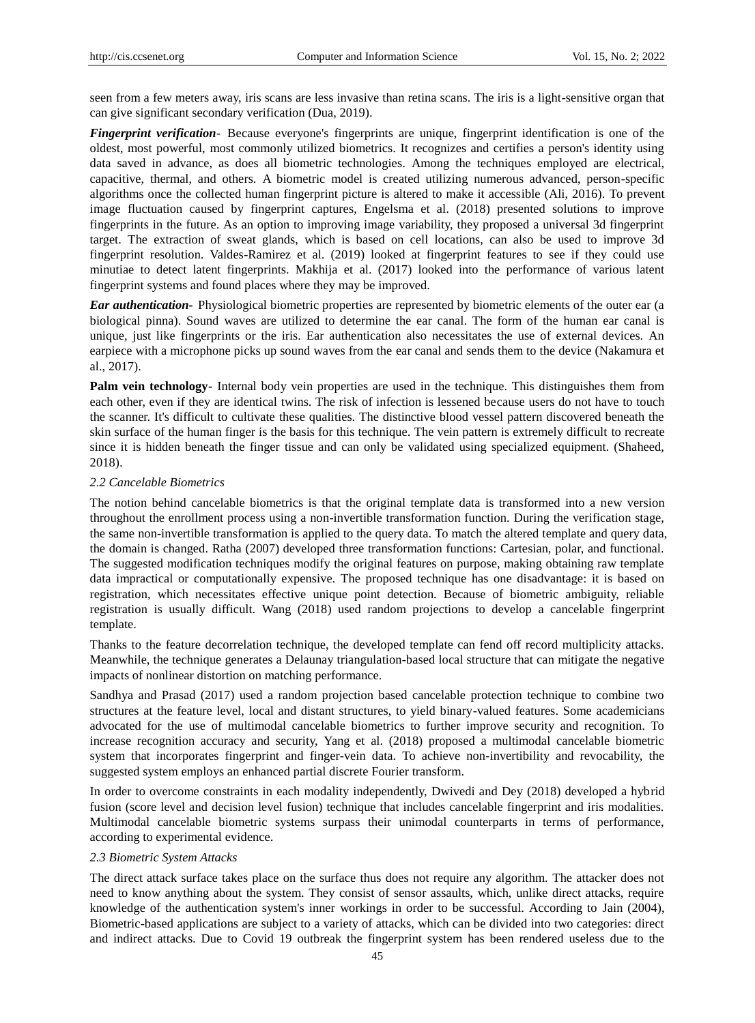seen from a few meters away, iris scans are less invasive than retina scans. The iris is a light-sensitive organ that can give significant secondary verification (Dua, 2019).

*Fingerprint verification*- Because everyone's fingerprints are unique, fingerprint identification is one of the oldest, most powerful, most commonly utilized biometrics. It recognizes and certifies a person's identity using data saved in advance, as does all biometric technologies. Among the techniques employed are electrical, capacitive, thermal, and others. A biometric model is created utilizing numerous advanced, person-specific algorithms once the collected human fingerprint picture is altered to make it accessible (Ali, 2016). To prevent image fluctuation caused by fingerprint captures, Engelsma et al. (2018) presented solutions to improve fingerprints in the future. As an option to improving image variability, they proposed a universal 3d fingerprint target. The extraction of sweat glands, which is based on cell locations, can also be used to improve 3d fingerprint resolution. Valdes-Ramirez et al. (2019) looked at fingerprint features to see if they could use minutiae to detect latent fingerprints. Makhija et al. (2017) looked into the performance of various latent fingerprint systems and found places where they may be improved.

*Ear authentication-* Physiological biometric properties are represented by biometric elements of the outer ear (a biological pinna). Sound waves are utilized to determine the ear canal. The form of the human ear canal is unique, just like fingerprints or the iris. Ear authentication also necessitates the use of external devices. An earpiece with a microphone picks up sound waves from the ear canal and sends them to the device (Nakamura et al., 2017).

**Palm vein technology-** Internal body vein properties are used in the technique. This distinguishes them from each other, even if they are identical twins. The risk of infection is lessened because users do not have to touch the scanner. It's difficult to cultivate these qualities. The distinctive blood vessel pattern discovered beneath the skin surface of the human finger is the basis for this technique. The vein pattern is extremely difficult to recreate since it is hidden beneath the finger tissue and can only be validated using specialized equipment. (Shaheed, 2018).

#### *2.2 Cancelable Biometrics*

The notion behind cancelable biometrics is that the original template data is transformed into a new version throughout the enrollment process using a non-invertible transformation function. During the verification stage, the same non-invertible transformation is applied to the query data. To match the altered template and query data, the domain is changed. Ratha (2007) developed three transformation functions: Cartesian, polar, and functional. The suggested modification techniques modify the original features on purpose, making obtaining raw template data impractical or computationally expensive. The proposed technique has one disadvantage: it is based on registration, which necessitates effective unique point detection. Because of biometric ambiguity, reliable registration is usually difficult. Wang (2018) used random projections to develop a cancelable fingerprint template.

Thanks to the feature decorrelation technique, the developed template can fend off record multiplicity attacks. Meanwhile, the technique generates a Delaunay triangulation-based local structure that can mitigate the negative impacts of nonlinear distortion on matching performance.

Sandhya and Prasad (2017) used a random projection based cancelable protection technique to combine two structures at the feature level, local and distant structures, to yield binary-valued features. Some academicians advocated for the use of multimodal cancelable biometrics to further improve security and recognition. To increase recognition accuracy and security, Yang et al. (2018) proposed a multimodal cancelable biometric system that incorporates fingerprint and finger-vein data. To achieve non-invertibility and revocability, the suggested system employs an enhanced partial discrete Fourier transform.

In order to overcome constraints in each modality independently, Dwivedi and Dey (2018) developed a hybrid fusion (score level and decision level fusion) technique that includes cancelable fingerprint and iris modalities. Multimodal cancelable biometric systems surpass their unimodal counterparts in terms of performance, according to experimental evidence.

#### *2.3 Biometric System Attacks*

The direct attack surface takes place on the surface thus does not require any algorithm. The attacker does not need to know anything about the system. They consist of sensor assaults, which, unlike direct attacks, require knowledge of the authentication system's inner workings in order to be successful. According to Jain (2004), Biometric-based applications are subject to a variety of attacks, which can be divided into two categories: direct and indirect attacks. Due to Covid 19 outbreak the fingerprint system has been rendered useless due to the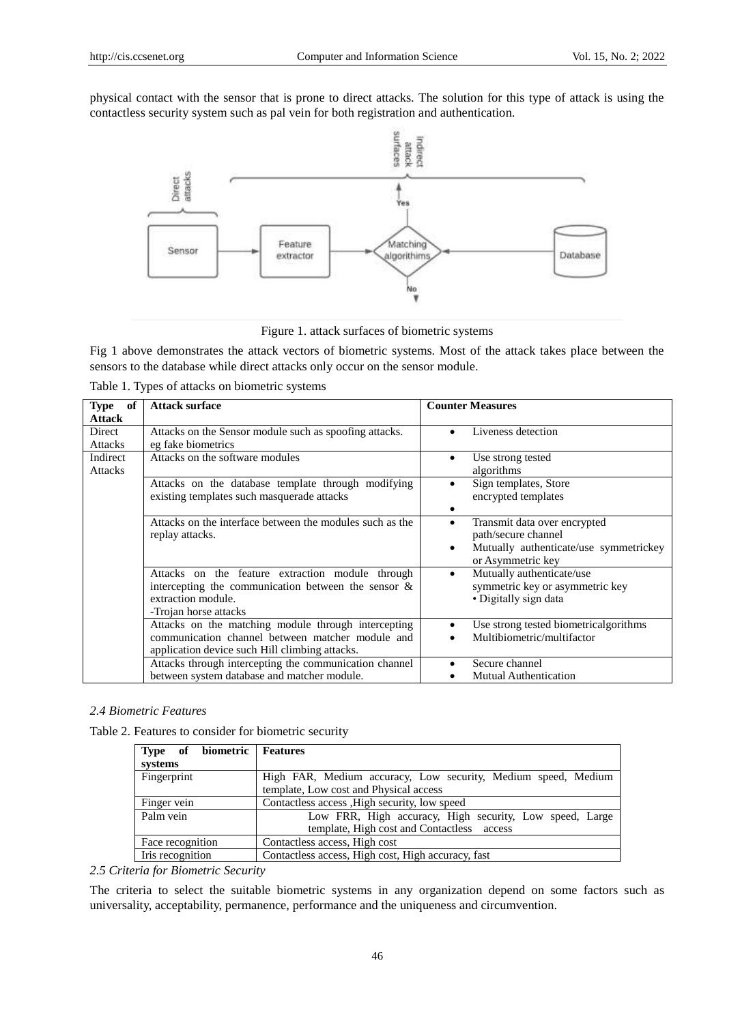physical contact with the sensor that is prone to direct attacks. The solution for this type of attack is using the contactless security system such as pal vein for both registration and authentication.



Figure 1. attack surfaces of biometric systems

Fig 1 above demonstrates the attack vectors of biometric systems. Most of the attack takes place between the sensors to the database while direct attacks only occur on the sensor module.

|  |  | Table 1. Types of attacks on biometric systems |
|--|--|------------------------------------------------|
|  |  |                                                |

| of<br><b>Type</b><br><b>Attack</b> | <b>Attack surface</b>                                                                                                                                     | <b>Counter Measures</b>                                                                                                 |
|------------------------------------|-----------------------------------------------------------------------------------------------------------------------------------------------------------|-------------------------------------------------------------------------------------------------------------------------|
| Direct<br><b>Attacks</b>           | Attacks on the Sensor module such as spoofing attacks.<br>eg fake biometrics                                                                              | Liveness detection                                                                                                      |
| Indirect<br><b>Attacks</b>         | Attacks on the software modules                                                                                                                           | Use strong tested<br>algorithms                                                                                         |
|                                    | Attacks on the database template through modifying<br>existing templates such masquerade attacks                                                          | Sign templates, Store<br>٠<br>encrypted templates                                                                       |
|                                    | Attacks on the interface between the modules such as the<br>replay attacks.                                                                               | Transmit data over encrypted<br>٠<br>path/secure channel<br>Mutually authenticate/use symmetrickey<br>or Asymmetric key |
|                                    | Attacks on the feature extraction module through<br>intercepting the communication between the sensor $\&$<br>extraction module.<br>-Trojan horse attacks | Mutually authenticate/use<br>$\bullet$<br>symmetric key or asymmetric key<br>• Digitally sign data                      |
|                                    | Attacks on the matching module through intercepting<br>communication channel between matcher module and<br>application device such Hill climbing attacks. | Use strong tested biometricalgorithms<br>Multibiometric/multifactor                                                     |
|                                    | Attacks through intercepting the communication channel<br>between system database and matcher module.                                                     | Secure channel<br><b>Mutual Authentication</b>                                                                          |

# *2.4 Biometric Features*

Table 2. Features to consider for biometric security

| Type of biometric Features<br>systems |                                                                                                         |
|---------------------------------------|---------------------------------------------------------------------------------------------------------|
| Fingerprint                           | High FAR, Medium accuracy, Low security, Medium speed, Medium<br>template, Low cost and Physical access |
| Finger vein                           | Contactless access, High security, low speed                                                            |
| Palm vein                             | Low FRR, High accuracy, High security, Low speed, Large<br>template, High cost and Contactless access   |
| Face recognition                      | Contactless access, High cost                                                                           |
| Iris recognition                      | Contactless access, High cost, High accuracy, fast                                                      |

*2.5 Criteria for Biometric Security*

The criteria to select the suitable biometric systems in any organization depend on some factors such as universality, acceptability, permanence, performance and the uniqueness and circumvention.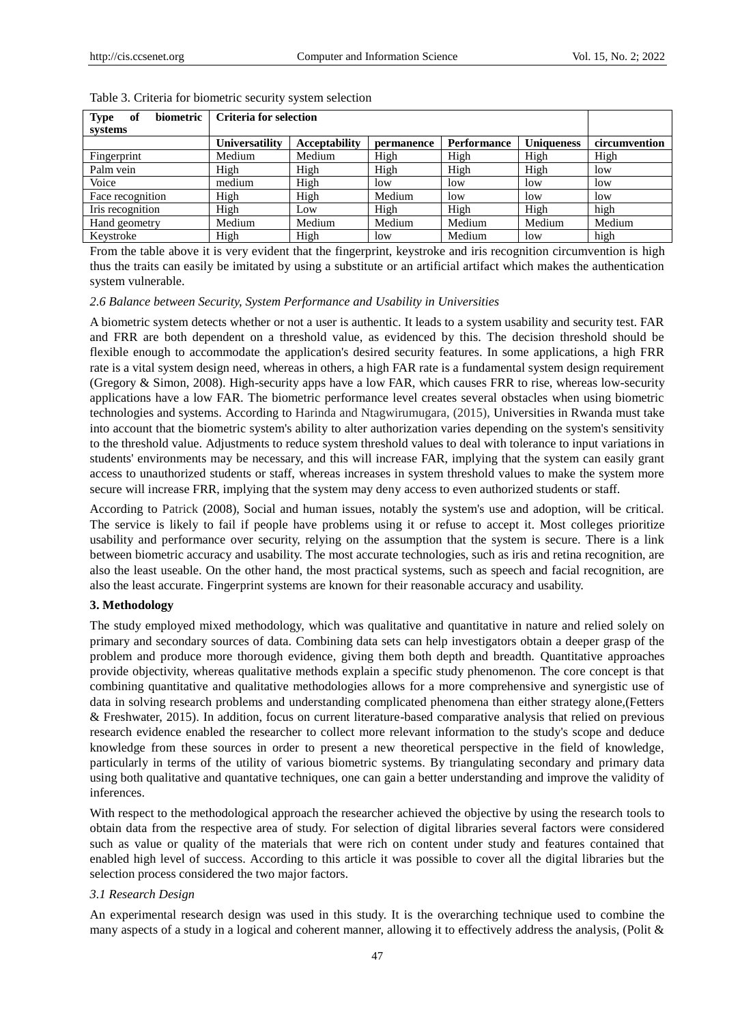| of<br>biometric<br><b>Type</b> |                | Criteria for selection |            |             |                   |               |
|--------------------------------|----------------|------------------------|------------|-------------|-------------------|---------------|
| systems                        |                |                        |            |             |                   |               |
|                                | Universatility | <b>Acceptability</b>   | permanence | Performance | <b>Uniqueness</b> | circumvention |
| Fingerprint                    | Medium         | Medium                 | High       | High        | High              | High          |
| Palm vein                      | High           | High                   | High       | High        | High              | low           |
| Voice                          | medium         | High                   | low        | low         | low               | low           |
| Face recognition               | High           | High                   | Medium     | low         | low               | low           |
| Iris recognition               | High           | Low                    | High       | High        | High              | high          |
| Hand geometry                  | Medium         | Medium                 | Medium     | Medium      | Medium            | Medium        |
| Keystroke                      | High           | High                   | low        | Medium      | low               | high          |

#### Table 3. Criteria for biometric security system selection

From the table above it is very evident that the fingerprint, keystroke and iris recognition circumvention is high thus the traits can easily be imitated by using a substitute or an artificial artifact which makes the authentication system vulnerable.

#### *2.6 Balance between Security, System Performance and Usability in Universities*

A biometric system detects whether or not a user is authentic. It leads to a system usability and security test. FAR and FRR are both dependent on a threshold value, as evidenced by this. The decision threshold should be flexible enough to accommodate the application's desired security features. In some applications, a high FRR rate is a vital system design need, whereas in others, a high FAR rate is a fundamental system design requirement (Gregory & Simon, 2008). High-security apps have a low FAR, which causes FRR to rise, whereas low-security applications have a low FAR. The biometric performance level creates several obstacles when using biometric technologies and systems. According to Harinda and Ntagwirumugara, (2015), Universities in Rwanda must take into account that the biometric system's ability to alter authorization varies depending on the system's sensitivity to the threshold value. Adjustments to reduce system threshold values to deal with tolerance to input variations in students' environments may be necessary, and this will increase FAR, implying that the system can easily grant access to unauthorized students or staff, whereas increases in system threshold values to make the system more secure will increase FRR, implying that the system may deny access to even authorized students or staff.

According to Patrick (2008), Social and human issues, notably the system's use and adoption, will be critical. The service is likely to fail if people have problems using it or refuse to accept it. Most colleges prioritize usability and performance over security, relying on the assumption that the system is secure. There is a link between biometric accuracy and usability. The most accurate technologies, such as iris and retina recognition, are also the least useable. On the other hand, the most practical systems, such as speech and facial recognition, are also the least accurate. Fingerprint systems are known for their reasonable accuracy and usability.

#### **3. Methodology**

The study employed mixed methodology, which was qualitative and quantitative in nature and relied solely on primary and secondary sources of data. Combining data sets can help investigators obtain a deeper grasp of the problem and produce more thorough evidence, giving them both depth and breadth. Quantitative approaches provide objectivity, whereas qualitative methods explain a specific study phenomenon. The core concept is that combining quantitative and qualitative methodologies allows for a more comprehensive and synergistic use of data in solving research problems and understanding complicated phenomena than either strategy alone,(Fetters & Freshwater, 2015). In addition, focus on current literature-based comparative analysis that relied on previous research evidence enabled the researcher to collect more relevant information to the study's scope and deduce knowledge from these sources in order to present a new theoretical perspective in the field of knowledge, particularly in terms of the utility of various biometric systems. By triangulating secondary and primary data using both qualitative and quantative techniques, one can gain a better understanding and improve the validity of inferences.

With respect to the methodological approach the researcher achieved the objective by using the research tools to obtain data from the respective area of study. For selection of digital libraries several factors were considered such as value or quality of the materials that were rich on content under study and features contained that enabled high level of success. According to this article it was possible to cover all the digital libraries but the selection process considered the two major factors.

# *3.1 Research Design*

An experimental research design was used in this study. It is the overarching technique used to combine the many aspects of a study in a logical and coherent manner, allowing it to effectively address the analysis, (Polit &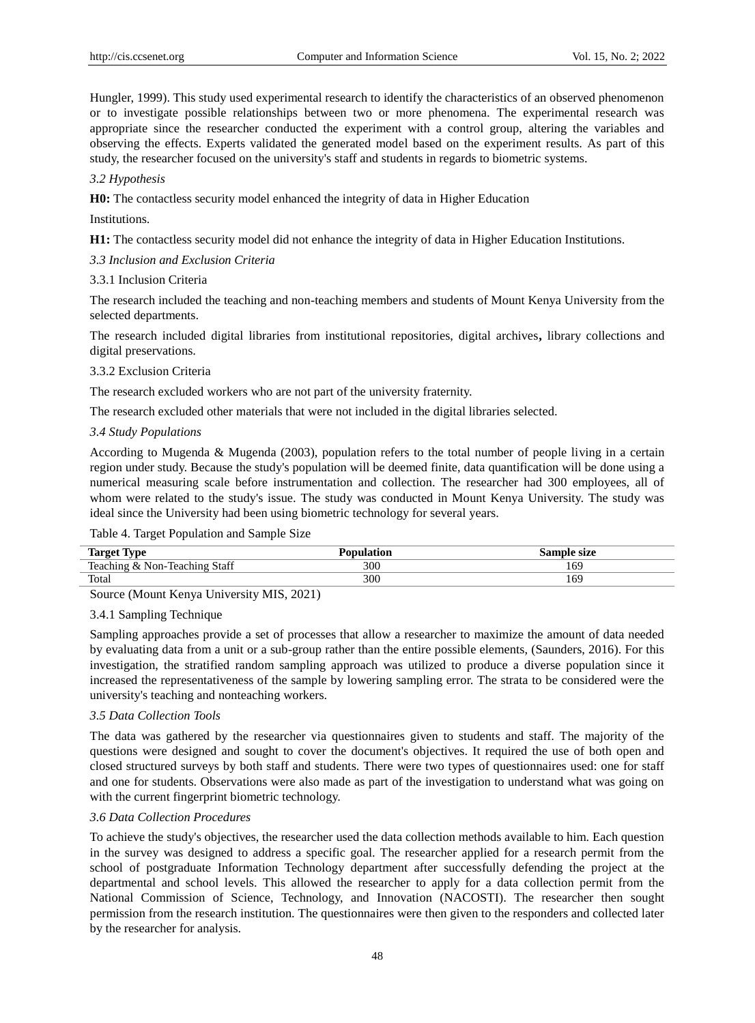Hungler, 1999). This study used experimental research to identify the characteristics of an observed phenomenon or to investigate possible relationships between two or more phenomena. The experimental research was appropriate since the researcher conducted the experiment with a control group, altering the variables and observing the effects. Experts validated the generated model based on the experiment results. As part of this study, the researcher focused on the university's staff and students in regards to biometric systems.

# *3.2 Hypothesis*

**H0:** The contactless security model enhanced the integrity of data in Higher Education

### Institutions.

**H1:** The contactless security model did not enhance the integrity of data in Higher Education Institutions.

# *3.3 Inclusion and Exclusion Criteria*

# 3.3.1 Inclusion Criteria

The research included the teaching and non-teaching members and students of Mount Kenya University from the selected departments.

The research included digital libraries from institutional repositories, digital archives**,** library collections and digital preservations.

# 3.3.2 Exclusion Criteria

The research excluded workers who are not part of the university fraternity.

The research excluded other materials that were not included in the digital libraries selected.

# *3.4 Study Populations*

According to Mugenda & Mugenda (2003), population refers to the total number of people living in a certain region under study. Because the study's population will be deemed finite, data quantification will be done using a numerical measuring scale before instrumentation and collection. The researcher had 300 employees, all of whom were related to the study's issue. The study was conducted in Mount Kenya University. The study was ideal since the University had been using biometric technology for several years.

# Table 4. Target Population and Sample Size

| $\mathbf{r}$<br><b>TIMO</b><br>Targo                                   |     | size<br>$5a^{m}$ |
|------------------------------------------------------------------------|-----|------------------|
| Staff<br>$\mathbf{r}$<br>leaching<br>Teachin<br>Non<br>:h1no<br>$\chi$ | 300 | 169              |
| Total                                                                  | 300 | 169              |

Source (Mount Kenya University MIS, 2021)

# 3.4.1 Sampling Technique

Sampling approaches provide a set of processes that allow a researcher to maximize the amount of data needed by evaluating data from a unit or a sub-group rather than the entire possible elements, (Saunders, 2016). For this investigation, the stratified random sampling approach was utilized to produce a diverse population since it increased the representativeness of the sample by lowering sampling error. The strata to be considered were the university's teaching and nonteaching workers.

# *3.5 Data Collection Tools*

The data was gathered by the researcher via questionnaires given to students and staff. The majority of the questions were designed and sought to cover the document's objectives. It required the use of both open and closed structured surveys by both staff and students. There were two types of questionnaires used: one for staff and one for students. Observations were also made as part of the investigation to understand what was going on with the current fingerprint biometric technology.

#### *3.6 Data Collection Procedures*

To achieve the study's objectives, the researcher used the data collection methods available to him. Each question in the survey was designed to address a specific goal. The researcher applied for a research permit from the school of postgraduate Information Technology department after successfully defending the project at the departmental and school levels. This allowed the researcher to apply for a data collection permit from the National Commission of Science, Technology, and Innovation (NACOSTI). The researcher then sought permission from the research institution. The questionnaires were then given to the responders and collected later by the researcher for analysis.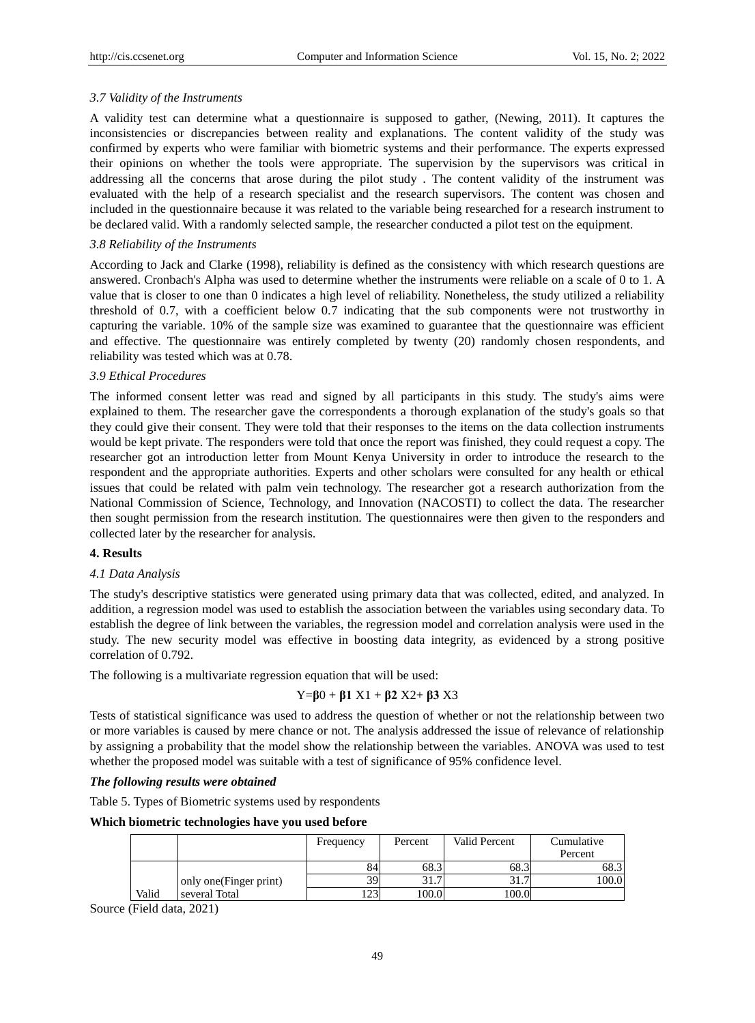# *3.7 Validity of the Instruments*

A validity test can determine what a questionnaire is supposed to gather, (Newing, 2011). It captures the inconsistencies or discrepancies between reality and explanations. The content validity of the study was confirmed by experts who were familiar with biometric systems and their performance. The experts expressed their opinions on whether the tools were appropriate. The supervision by the supervisors was critical in addressing all the concerns that arose during the pilot study . The content validity of the instrument was evaluated with the help of a research specialist and the research supervisors. The content was chosen and included in the questionnaire because it was related to the variable being researched for a research instrument to be declared valid. With a randomly selected sample, the researcher conducted a pilot test on the equipment.

### *3.8 Reliability of the Instruments*

According to Jack and Clarke (1998), reliability is defined as the consistency with which research questions are answered. Cronbach's Alpha was used to determine whether the instruments were reliable on a scale of 0 to 1. A value that is closer to one than 0 indicates a high level of reliability. Nonetheless, the study utilized a reliability threshold of 0.7, with a coefficient below 0.7 indicating that the sub components were not trustworthy in capturing the variable. 10% of the sample size was examined to guarantee that the questionnaire was efficient and effective. The questionnaire was entirely completed by twenty (20) randomly chosen respondents, and reliability was tested which was at 0.78.

# *3.9 Ethical Procedures*

The informed consent letter was read and signed by all participants in this study. The study's aims were explained to them. The researcher gave the correspondents a thorough explanation of the study's goals so that they could give their consent. They were told that their responses to the items on the data collection instruments would be kept private. The responders were told that once the report was finished, they could request a copy. The researcher got an introduction letter from Mount Kenya University in order to introduce the research to the respondent and the appropriate authorities. Experts and other scholars were consulted for any health or ethical issues that could be related with palm vein technology. The researcher got a research authorization from the National Commission of Science, Technology, and Innovation (NACOSTI) to collect the data. The researcher then sought permission from the research institution. The questionnaires were then given to the responders and collected later by the researcher for analysis.

# **4. Results**

# *4.1 Data Analysis*

The study's descriptive statistics were generated using primary data that was collected, edited, and analyzed. In addition, a regression model was used to establish the association between the variables using secondary data. To establish the degree of link between the variables, the regression model and correlation analysis were used in the study. The new security model was effective in boosting data integrity, as evidenced by a strong positive correlation of 0.792.

The following is a multivariate regression equation that will be used:

# Y=**β**0 + **β1** X1 + **β2** X2+ **β3** X3

Tests of statistical significance was used to address the question of whether or not the relationship between two or more variables is caused by mere chance or not. The analysis addressed the issue of relevance of relationship by assigning a probability that the model show the relationship between the variables. ANOVA was used to test whether the proposed model was suitable with a test of significance of 95% confidence level.

#### *The following results were obtained*

Table 5. Types of Biometric systems used by respondents

**Which biometric technologies have you used before**

|       |                         | Frequency  | Percent | Valid Percent | Cumulative<br>Percent |
|-------|-------------------------|------------|---------|---------------|-----------------------|
|       |                         | 84         | 68.3    | 68.3          | 68.3                  |
|       | only one (Finger print) | 39.        | 31.     | 31            | 100.0                 |
| Valid | several Total           | $1 \cap 1$ | 100.0   | 100.0         |                       |

Source (Field data, 2021)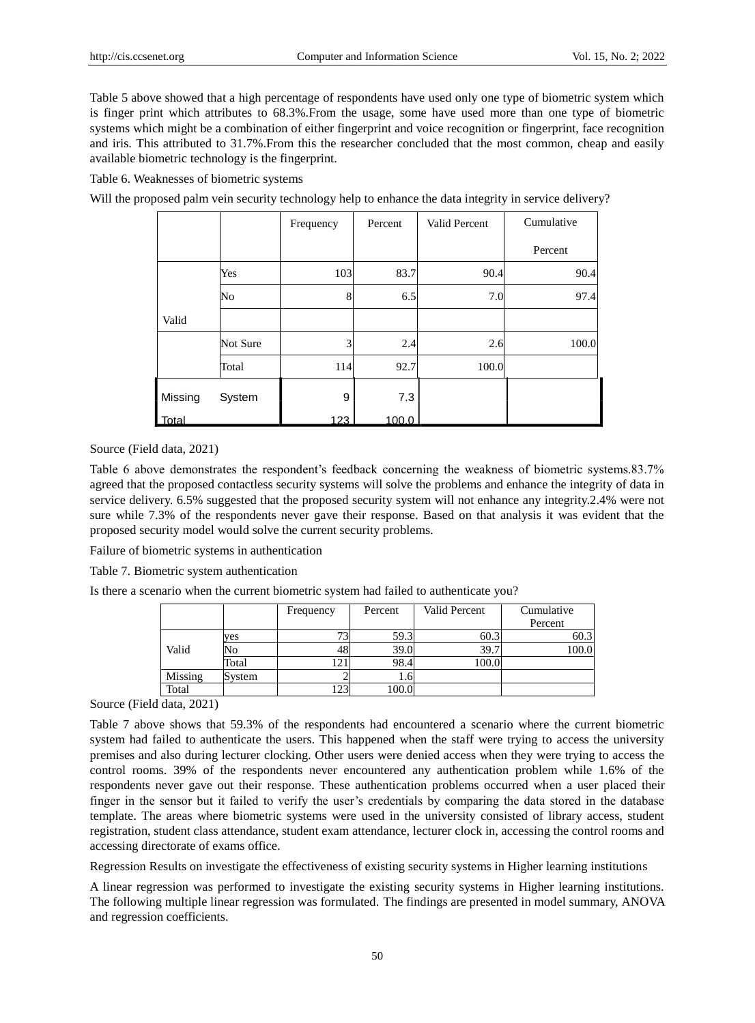Table 5 above showed that a high percentage of respondents have used only one type of biometric system which is finger print which attributes to 68.3%.From the usage, some have used more than one type of biometric systems which might be a combination of either fingerprint and voice recognition or fingerprint, face recognition and iris. This attributed to 31.7%.From this the researcher concluded that the most common, cheap and easily available biometric technology is the fingerprint.

Table 6. Weaknesses of biometric systems

Will the proposed palm vein security technology help to enhance the data integrity in service delivery?

|         |          | Frequency | Percent | Valid Percent | Cumulative |
|---------|----------|-----------|---------|---------------|------------|
|         |          |           |         |               | Percent    |
|         | Yes      | 103       | 83.7    | 90.4          | 90.4       |
|         | No       | 8         | 6.5     | 7.0           | 97.4       |
| Valid   |          |           |         |               |            |
|         | Not Sure | 3         | 2.4     | 2.6           | 100.0      |
|         | Total    | 114       | 92.7    | 100.0         |            |
| Missing | System   | 9         | 7.3     |               |            |
| Total   |          | 123       | 100.0   |               |            |

Source (Field data, 2021)

Table 6 above demonstrates the respondent's feedback concerning the weakness of biometric systems.83.7% agreed that the proposed contactless security systems will solve the problems and enhance the integrity of data in service delivery. 6.5% suggested that the proposed security system will not enhance any integrity.2.4% were not sure while 7.3% of the respondents never gave their response. Based on that analysis it was evident that the proposed security model would solve the current security problems.

Failure of biometric systems in authentication

Table 7. Biometric system authentication

Is there a scenario when the current biometric system had failed to authenticate you?

|         |        | Frequency | Percent | Valid Percent | Cumulative |
|---------|--------|-----------|---------|---------------|------------|
|         |        |           |         |               | Percent    |
|         | yes    |           | 59.3    | 60.3          | 60.3       |
| Valid   | No     |           | 39.0    | 39.7          | 100.0      |
|         | Total  |           | 98.4    | 100.0         |            |
| Missing | System |           | 1.61    |               |            |
| Total   |        | 143       | 100.0   |               |            |

Source (Field data, 2021)

Table 7 above shows that 59.3% of the respondents had encountered a scenario where the current biometric system had failed to authenticate the users. This happened when the staff were trying to access the university premises and also during lecturer clocking. Other users were denied access when they were trying to access the control rooms. 39% of the respondents never encountered any authentication problem while 1.6% of the respondents never gave out their response. These authentication problems occurred when a user placed their finger in the sensor but it failed to verify the user's credentials by comparing the data stored in the database template. The areas where biometric systems were used in the university consisted of library access, student registration, student class attendance, student exam attendance, lecturer clock in, accessing the control rooms and accessing directorate of exams office.

Regression Results on investigate the effectiveness of existing security systems in Higher learning institutions

A linear regression was performed to investigate the existing security systems in Higher learning institutions. The following multiple linear regression was formulated. The findings are presented in model summary, ANOVA and regression coefficients.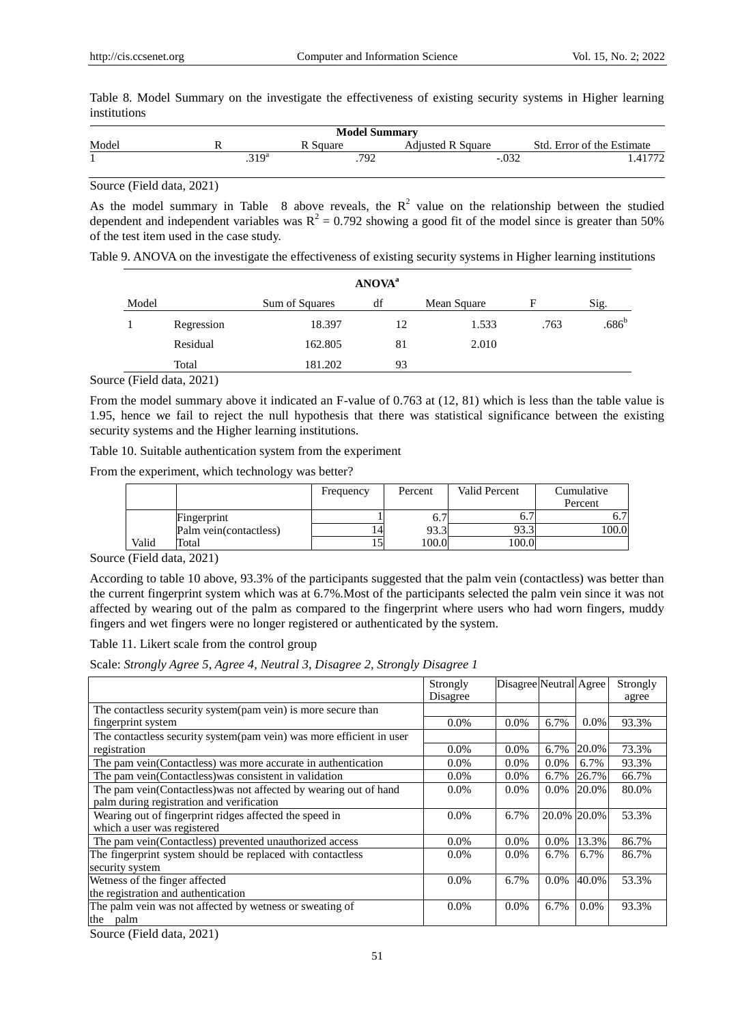Table 8. Model Summary on the investigate the effectiveness of existing security systems in Higher learning institutions

| <b>Model Summary</b> |            |          |                          |                            |  |  |
|----------------------|------------|----------|--------------------------|----------------------------|--|--|
| Model                |            | R Square | <b>Adjusted R Square</b> | Std. Error of the Estimate |  |  |
|                      | $.319^{a}$ | 792      | $-.032$                  |                            |  |  |

Source (Field data, 2021)

As the model summary in Table 8 above reveals, the  $R^2$  value on the relationship between the studied dependent and independent variables was  $R^2 = 0.792$  showing a good fit of the model since is greater than 50% of the test item used in the case study.

Table 9. ANOVA on the investigate the effectiveness of existing security systems in Higher learning institutions

|       | ANOVA <sup>a</sup> |                |    |             |      |                |
|-------|--------------------|----------------|----|-------------|------|----------------|
| Model |                    | Sum of Squares | df | Mean Square | F    | Sig.           |
|       | Regression         | 18.397         | 12 | 1.533       | .763 | $.686^{\circ}$ |
|       | Residual           | 162.805        | 81 | 2.010       |      |                |
|       | Total              | 181.202        | 93 |             |      |                |

Source (Field data, 2021)

From the model summary above it indicated an F-value of 0.763 at (12, 81) which is less than the table value is 1.95, hence we fail to reject the null hypothesis that there was statistical significance between the existing security systems and the Higher learning institutions.

Table 10. Suitable authentication system from the experiment

From the experiment, which technology was better?

|       |                        | Frequency | Percent | Valid Percent | Cumulative |
|-------|------------------------|-----------|---------|---------------|------------|
|       |                        |           |         |               | Percent    |
|       | Fingerprint            |           | O.      |               |            |
|       | Palm vein(contactless) | 4         | 93.3    | 93.3          | 100.0      |
| Valid | Total                  |           | 100.0   | 100.0         |            |

Source (Field data, 2021)

According to table 10 above, 93.3% of the participants suggested that the palm vein (contactless) was better than the current fingerprint system which was at 6.7%.Most of the participants selected the palm vein since it was not affected by wearing out of the palm as compared to the fingerprint where users who had worn fingers, muddy fingers and wet fingers were no longer registered or authenticated by the system.

Table 11. Likert scale from the control group

Scale: *Strongly Agree 5, Agree 4, Neutral 3, Disagree 2, Strongly Disagree 1* 

|                                                                      | Strongly | Disagree Neutral Agree |             |         | Strongly |
|----------------------------------------------------------------------|----------|------------------------|-------------|---------|----------|
|                                                                      | Disagree |                        |             |         | agree    |
| The contactless security system(pam vein) is more secure than        |          |                        |             |         |          |
| fingerprint system                                                   | $0.0\%$  | 0.0%                   | 6.7%        | $0.0\%$ | 93.3%    |
| The contactless security system(pam vein) was more efficient in user |          |                        |             |         |          |
| registration                                                         | $0.0\%$  | 0.0%                   | 6.7%        | 20.0%   | 73.3%    |
| The pam vein(Contactless) was more accurate in authentication        | $0.0\%$  | 0.0%                   | $0.0\%$     | 6.7%    | 93.3%    |
| The pam vein(Contactless) was consistent in validation               | $0.0\%$  | $0.0\%$                | 6.7%        | 26.7%   | 66.7%    |
| The pam vein(Contactless) was not affected by wearing out of hand    | $0.0\%$  | $0.0\%$                | $0.0\%$     | 20.0%   | 80.0%    |
| palm during registration and verification                            |          |                        |             |         |          |
| Wearing out of fingerprint ridges affected the speed in              | $0.0\%$  | 6.7%                   | 20.0% 20.0% |         | 53.3%    |
| which a user was registered                                          |          |                        |             |         |          |
| The pam vein(Contactless) prevented unauthorized access              | $0.0\%$  | 0.0%                   | 0.0%        | 13.3%   | 86.7%    |
| The fingerprint system should be replaced with contactless           | $0.0\%$  | $0.0\%$                | 6.7%        | 6.7%    | 86.7%    |
| security system                                                      |          |                        |             |         |          |
| Wetness of the finger affected                                       | $0.0\%$  | 6.7%                   | $0.0\%$     | 40.0%   | 53.3%    |
| the registration and authentication                                  |          |                        |             |         |          |
| The palm vein was not affected by wetness or sweating of             | $0.0\%$  | $0.0\%$                | 6.7%        | $0.0\%$ | 93.3%    |
| the<br>palm                                                          |          |                        |             |         |          |

Source (Field data, 2021)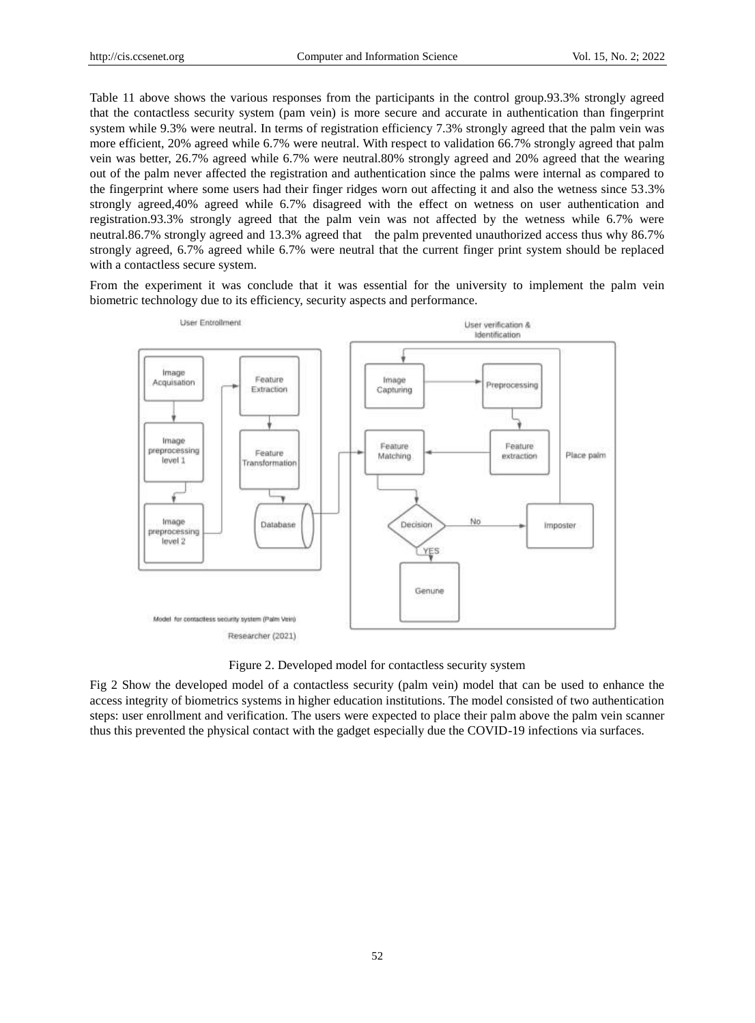Table 11 above shows the various responses from the participants in the control group.93.3% strongly agreed that the contactless security system (pam vein) is more secure and accurate in authentication than fingerprint system while 9.3% were neutral. In terms of registration efficiency 7.3% strongly agreed that the palm vein was more efficient, 20% agreed while 6.7% were neutral. With respect to validation 66.7% strongly agreed that palm vein was better, 26.7% agreed while 6.7% were neutral.80% strongly agreed and 20% agreed that the wearing out of the palm never affected the registration and authentication since the palms were internal as compared to the fingerprint where some users had their finger ridges worn out affecting it and also the wetness since 53.3% strongly agreed,40% agreed while 6.7% disagreed with the effect on wetness on user authentication and registration.93.3% strongly agreed that the palm vein was not affected by the wetness while 6.7% were neutral.86.7% strongly agreed and 13.3% agreed that the palm prevented unauthorized access thus why 86.7% strongly agreed, 6.7% agreed while 6.7% were neutral that the current finger print system should be replaced with a contactless secure system.

From the experiment it was conclude that it was essential for the university to implement the palm vein biometric technology due to its efficiency, security aspects and performance.



Figure 2. Developed model for contactless security system

Fig 2 Show the developed model of a contactless security (palm vein) model that can be used to enhance the access integrity of biometrics systems in higher education institutions. The model consisted of two authentication steps: user enrollment and verification. The users were expected to place their palm above the palm vein scanner thus this prevented the physical contact with the gadget especially due the COVID-19 infections via surfaces.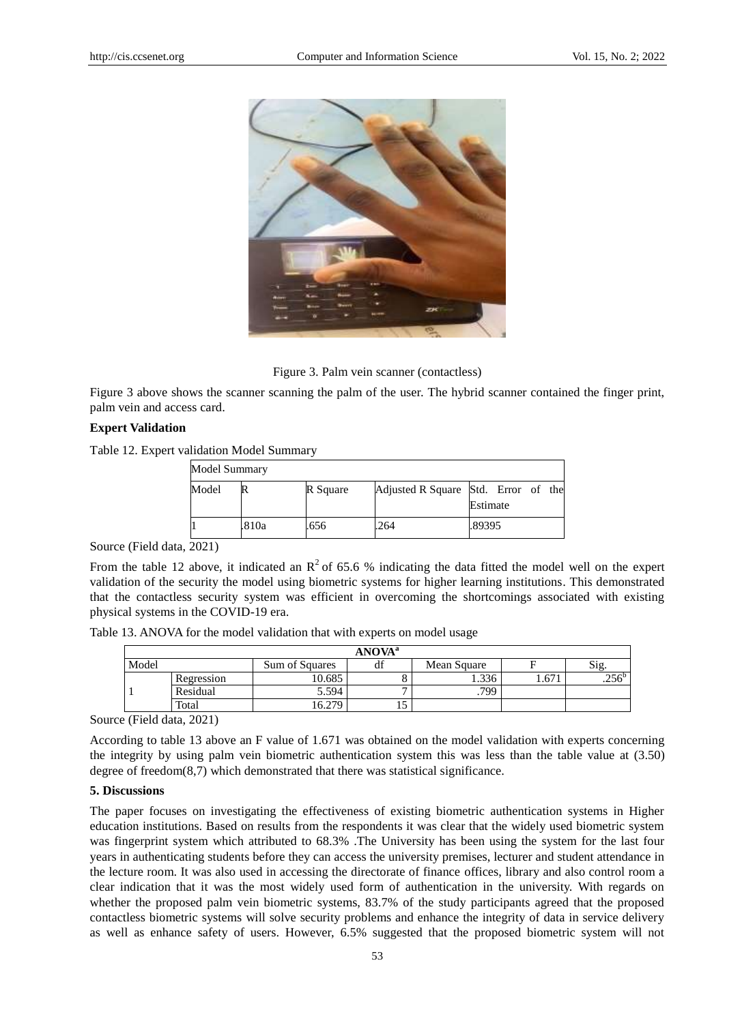

Figure 3. Palm vein scanner (contactless)

Figure 3 above shows the scanner scanning the palm of the user. The hybrid scanner contained the finger print, palm vein and access card.

#### **Expert Validation**

Table 12. Expert validation Model Summary

| Model Summary |       |          |                                     |          |  |
|---------------|-------|----------|-------------------------------------|----------|--|
| Model         |       | R Square | Adjusted R Square Std. Error of the | Estimate |  |
|               | .810a | .656     | .264                                | .89395   |  |

Source (Field data, 2021)

From the table 12 above, it indicated an  $\mathbb{R}^2$  of 65.6 % indicating the data fitted the model well on the expert validation of the security the model using biometric systems for higher learning institutions. This demonstrated that the contactless security system was efficient in overcoming the shortcomings associated with existing physical systems in the COVID-19 era.

Table 13. ANOVA for the model validation that with experts on model usage

| ANOVA <sup>a</sup> |                   |                |    |             |      |                |
|--------------------|-------------------|----------------|----|-------------|------|----------------|
| Model              |                   | Sum of Squares | df | Mean Square |      | Sig.           |
|                    | <b>Regression</b> | 10.685         |    | 1.336       | 4.67 | $.256^{\circ}$ |
|                    | Residual          | 5.594          |    | 799         |      |                |
|                    | Total             | 270            | ⊥  |             |      |                |

Source (Field data, 2021)

According to table 13 above an F value of 1.671 was obtained on the model validation with experts concerning the integrity by using palm vein biometric authentication system this was less than the table value at (3.50) degree of freedom(8,7) which demonstrated that there was statistical significance.

# **5. Discussions**

The paper focuses on investigating the effectiveness of existing biometric authentication systems in Higher education institutions. Based on results from the respondents it was clear that the widely used biometric system was fingerprint system which attributed to 68.3% .The University has been using the system for the last four years in authenticating students before they can access the university premises, lecturer and student attendance in the lecture room. It was also used in accessing the directorate of finance offices, library and also control room a clear indication that it was the most widely used form of authentication in the university. With regards on whether the proposed palm vein biometric systems, 83.7% of the study participants agreed that the proposed contactless biometric systems will solve security problems and enhance the integrity of data in service delivery as well as enhance safety of users. However, 6.5% suggested that the proposed biometric system will not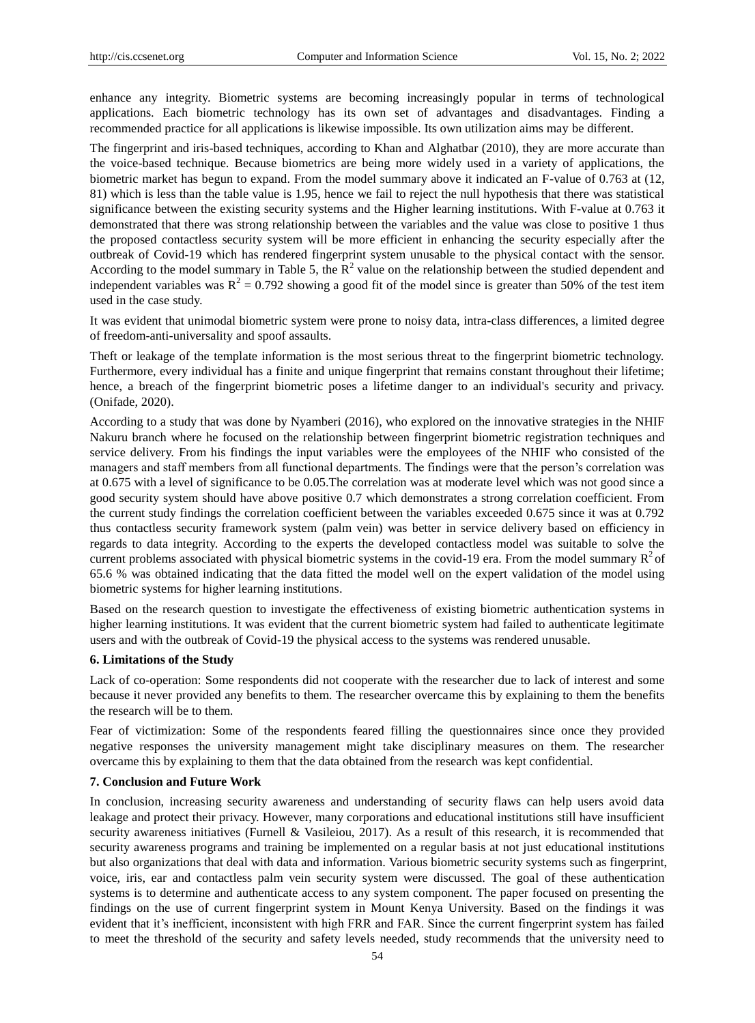enhance any integrity. Biometric systems are becoming increasingly popular in terms of technological applications. Each biometric technology has its own set of advantages and disadvantages. Finding a recommended practice for all applications is likewise impossible. Its own utilization aims may be different.

The fingerprint and iris-based techniques, according to Khan and Alghatbar (2010), they are more accurate than the voice-based technique. Because biometrics are being more widely used in a variety of applications, the biometric market has begun to expand. From the model summary above it indicated an F-value of 0.763 at (12, 81) which is less than the table value is 1.95, hence we fail to reject the null hypothesis that there was statistical significance between the existing security systems and the Higher learning institutions. With F-value at 0.763 it demonstrated that there was strong relationship between the variables and the value was close to positive 1 thus the proposed contactless security system will be more efficient in enhancing the security especially after the outbreak of Covid-19 which has rendered fingerprint system unusable to the physical contact with the sensor. According to the model summary in Table 5, the  $R^2$  value on the relationship between the studied dependent and independent variables was  $R^2 = 0.792$  showing a good fit of the model since is greater than 50% of the test item used in the case study.

It was evident that unimodal biometric system were prone to noisy data, intra-class differences, a limited degree of freedom-anti-universality and spoof assaults.

Theft or leakage of the template information is the most serious threat to the fingerprint biometric technology. Furthermore, every individual has a finite and unique fingerprint that remains constant throughout their lifetime; hence, a breach of the fingerprint biometric poses a lifetime danger to an individual's security and privacy. (Onifade, 2020).

According to a study that was done by Nyamberi (2016), who explored on the innovative strategies in the NHIF Nakuru branch where he focused on the relationship between fingerprint biometric registration techniques and service delivery. From his findings the input variables were the employees of the NHIF who consisted of the managers and staff members from all functional departments. The findings were that the person's correlation was at 0.675 with a level of significance to be 0.05.The correlation was at moderate level which was not good since a good security system should have above positive 0.7 which demonstrates a strong correlation coefficient. From the current study findings the correlation coefficient between the variables exceeded 0.675 since it was at 0.792 thus contactless security framework system (palm vein) was better in service delivery based on efficiency in regards to data integrity. According to the experts the developed contactless model was suitable to solve the current problems associated with physical biometric systems in the covid-19 era. From the model summary  $R^2$  of 65.6 % was obtained indicating that the data fitted the model well on the expert validation of the model using biometric systems for higher learning institutions.

Based on the research question to investigate the effectiveness of existing biometric authentication systems in higher learning institutions. It was evident that the current biometric system had failed to authenticate legitimate users and with the outbreak of Covid-19 the physical access to the systems was rendered unusable.

#### **6. Limitations of the Study**

Lack of co-operation: Some respondents did not cooperate with the researcher due to lack of interest and some because it never provided any benefits to them. The researcher overcame this by explaining to them the benefits the research will be to them.

Fear of victimization: Some of the respondents feared filling the questionnaires since once they provided negative responses the university management might take disciplinary measures on them. The researcher overcame this by explaining to them that the data obtained from the research was kept confidential.

#### **7. Conclusion and Future Work**

In conclusion, increasing security awareness and understanding of security flaws can help users avoid data leakage and protect their privacy. However, many corporations and educational institutions still have insufficient security awareness initiatives (Furnell & Vasileiou, 2017). As a result of this research, it is recommended that security awareness programs and training be implemented on a regular basis at not just educational institutions but also organizations that deal with data and information. Various biometric security systems such as fingerprint, voice, iris, ear and contactless palm vein security system were discussed. The goal of these authentication systems is to determine and authenticate access to any system component. The paper focused on presenting the findings on the use of current fingerprint system in Mount Kenya University. Based on the findings it was evident that it's inefficient, inconsistent with high FRR and FAR. Since the current fingerprint system has failed to meet the threshold of the security and safety levels needed, study recommends that the university need to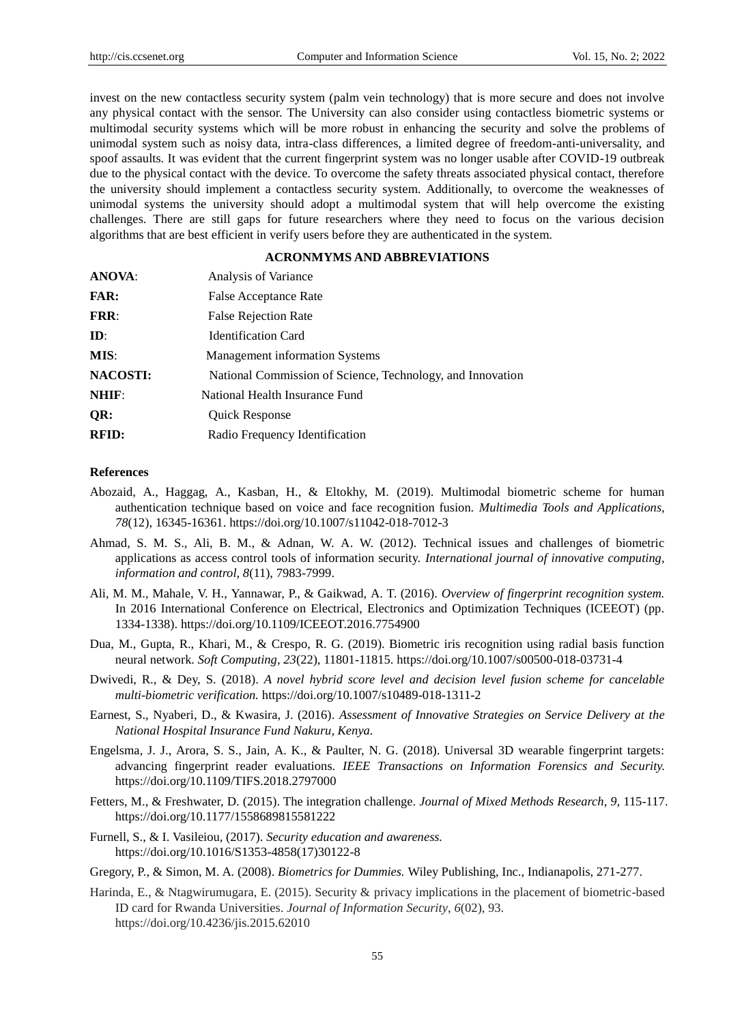invest on the new contactless security system (palm vein technology) that is more secure and does not involve any physical contact with the sensor. The University can also consider using contactless biometric systems or multimodal security systems which will be more robust in enhancing the security and solve the problems of unimodal system such as noisy data, intra-class differences, a limited degree of freedom-anti-universality, and spoof assaults. It was evident that the current fingerprint system was no longer usable after COVID-19 outbreak due to the physical contact with the device. To overcome the safety threats associated physical contact, therefore the university should implement a contactless security system. Additionally, to overcome the weaknesses of unimodal systems the university should adopt a multimodal system that will help overcome the existing challenges. There are still gaps for future researchers where they need to focus on the various decision algorithms that are best efficient in verify users before they are authenticated in the system.

# **ACRONMYMS AND ABBREVIATIONS**

| <b>ANOVA:</b>   | Analysis of Variance                                       |
|-----------------|------------------------------------------------------------|
| <b>FAR:</b>     | False Acceptance Rate                                      |
| <b>FRR:</b>     | <b>False Rejection Rate</b>                                |
| $\mathbf{ID}$ : | <b>Identification Card</b>                                 |
| MIS:            | <b>Management information Systems</b>                      |
| <b>NACOSTI:</b> | National Commission of Science, Technology, and Innovation |
| NHIF:           | National Health Insurance Fund                             |
| QR:             | <b>Quick Response</b>                                      |
| <b>RFID:</b>    | Radio Frequency Identification                             |

### **References**

- Abozaid, A., Haggag, A., Kasban, H., & Eltokhy, M. (2019). Multimodal biometric scheme for human authentication technique based on voice and face recognition fusion. *Multimedia Tools and Applications, 78*(12), 16345-16361. https://doi.org/10.1007/s11042-018-7012-3
- Ahmad, S. M. S., Ali, B. M., & Adnan, W. A. W. (2012). Technical issues and challenges of biometric applications as access control tools of information security. *International journal of innovative computing, information and control, 8*(11), 7983-7999.
- Ali, M. M., Mahale, V. H., Yannawar, P., & Gaikwad, A. T. (2016). *Overview of fingerprint recognition system.*  In 2016 International Conference on Electrical, Electronics and Optimization Techniques (ICEEOT) (pp. 1334-1338). https://doi.org/10.1109/ICEEOT.2016.7754900
- Dua, M., Gupta, R., Khari, M., & Crespo, R. G. (2019). Biometric iris recognition using radial basis function neural network. *Soft Computing, 23*(22), 11801-11815. https://doi.org/10.1007/s00500-018-03731-4
- Dwivedi, R., & Dey, S. (2018). *A novel hybrid score level and decision level fusion scheme for cancelable multi-biometric verification.* https://doi.org/10.1007/s10489-018-1311-2
- Earnest, S., Nyaberi, D., & Kwasira, J. (2016). *Assessment of Innovative Strategies on Service Delivery at the National Hospital Insurance Fund Nakuru, Kenya.*
- Engelsma, J. J., Arora, S. S., Jain, A. K., & Paulter, N. G. (2018). Universal 3D wearable fingerprint targets: advancing fingerprint reader evaluations. *IEEE Transactions on Information Forensics and Security.*  https://doi.org/10.1109/TIFS.2018.2797000
- Fetters, M., & Freshwater, D. (2015). The integration challenge. *Journal of Mixed Methods Research, 9,* 115-117. https://doi.org/10.1177/1558689815581222
- Furnell, S., & I. Vasileiou, (2017). *Security education and awareness.* https://doi.org/10.1016/S1353-4858(17)30122-8
- Gregory, P., & Simon, M. A. (2008). *Biometrics for Dummies.* Wiley Publishing, Inc., Indianapolis, 271-277.
- Harinda, E., & Ntagwirumugara, E. (2015). Security & privacy implications in the placement of biometric-based ID card for Rwanda Universities. *Journal of Information Security*, *6*(02), 93. https://doi.org/10.4236/jis.2015.62010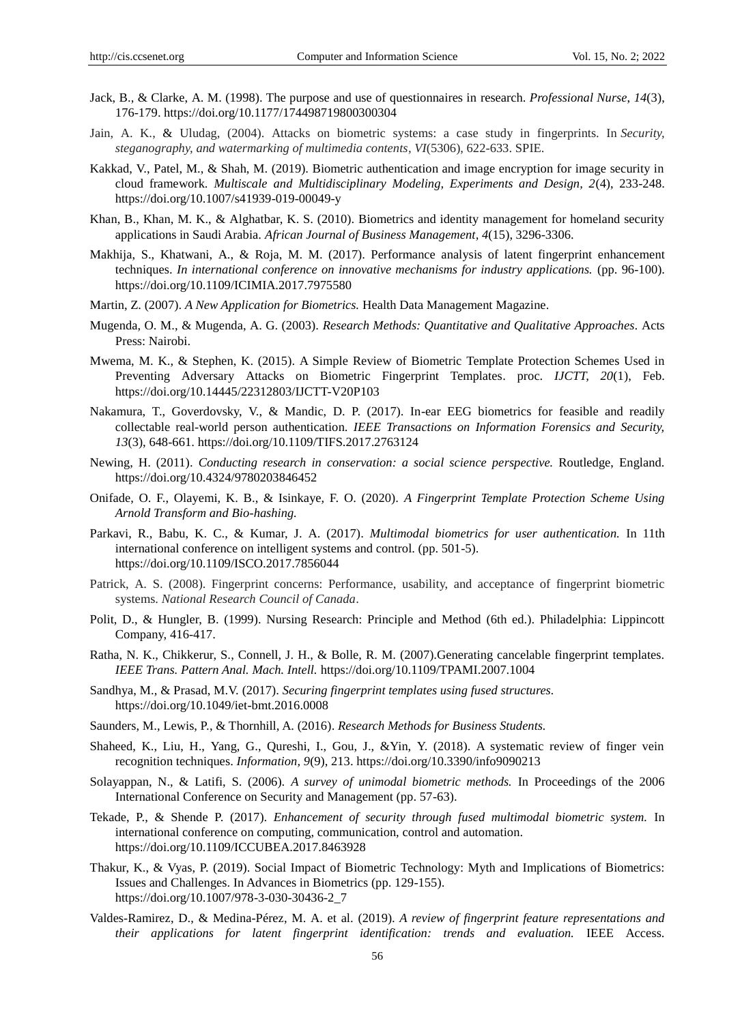- Jack, B., & Clarke, A. M. (1998). The purpose and use of questionnaires in research. *Professional Nurse*, *14*(3), 176-179. https://doi.org/10.1177/174498719800300304
- Jain, A. K., & Uludag, (2004). Attacks on biometric systems: a case study in fingerprints. In *Security, steganography, and watermarking of multimedia contents, VI*(5306), 622-633. SPIE.
- Kakkad, V., Patel, M., & Shah, M. (2019). Biometric authentication and image encryption for image security in cloud framework. *Multiscale and Multidisciplinary Modeling, Experiments and Design, 2*(4), 233-248. https://doi.org/10.1007/s41939-019-00049-y
- Khan, B., Khan, M. K., & Alghatbar, K. S. (2010). Biometrics and identity management for homeland security applications in Saudi Arabia. *African Journal of Business Management, 4*(15), 3296-3306.
- Makhija, S., Khatwani, A., & Roja, M. M. (2017). Performance analysis of latent fingerprint enhancement techniques. *In international conference on innovative mechanisms for industry applications.* (pp. 96-100). https://doi.org/10.1109/ICIMIA.2017.7975580
- Martin, Z. (2007). *A New Application for Biometrics.* Health Data Management Magazine.
- Mugenda, O. M., & Mugenda, A. G. (2003). *Research Methods: Quantitative and Qualitative Approaches.* Acts Press: Nairobi.
- Mwema, M. K., & Stephen, K. (2015). A Simple Review of Biometric Template Protection Schemes Used in Preventing Adversary Attacks on Biometric Fingerprint Templates. proc. *IJCTT, 20*(1), Feb. https://doi.org/10.14445/22312803/IJCTT-V20P103
- Nakamura, T., Goverdovsky, V., & Mandic, D. P. (2017). In-ear EEG biometrics for feasible and readily collectable real-world person authentication. *IEEE Transactions on Information Forensics and Security, 13*(3), 648-661. https://doi.org/10.1109/TIFS.2017.2763124
- Newing, H. (2011). *Conducting research in conservation: a social science perspective.* Routledge, England. https://doi.org/10.4324/9780203846452
- Onifade, O. F., Olayemi, K. B., & Isinkaye, F. O. (2020). *A Fingerprint Template Protection Scheme Using Arnold Transform and Bio-hashing.*
- Parkavi, R., Babu, K. C., & Kumar, J. A. (2017). *Multimodal biometrics for user authentication.* In 11th international conference on intelligent systems and control. (pp. 501-5). https://doi.org/10.1109/ISCO.2017.7856044
- Patrick, A. S. (2008). Fingerprint concerns: Performance, usability, and acceptance of fingerprint biometric systems. *National Research Council of Canada*.
- Polit, D., & Hungler, B. (1999). Nursing Research: Principle and Method (6th ed.). Philadelphia: Lippincott Company, 416-417.
- Ratha, N. K., Chikkerur, S., Connell, J. H., & Bolle, R. M. (2007).Generating cancelable fingerprint templates. *IEEE Trans. Pattern Anal. Mach. Intell.* https://doi.org/10.1109/TPAMI.2007.1004
- Sandhya, M., & Prasad, M.V. (2017). *Securing fingerprint templates using fused structures.*  https://doi.org/10.1049/iet-bmt.2016.0008
- Saunders, M., Lewis, P., & Thornhill, A. (2016). *Research Methods for Business Students.*
- Shaheed, K., Liu, H., Yang, G., Qureshi, I., Gou, J., &Yin, Y. (2018). A systematic review of finger vein recognition techniques. *Information, 9*(9), 213. https://doi.org/10.3390/info9090213
- Solayappan, N., & Latifi, S. (2006). *A survey of unimodal biometric methods.* In Proceedings of the 2006 International Conference on Security and Management (pp. 57-63).
- Tekade, P., & Shende P. (2017). *Enhancement of security through fused multimodal biometric system.* In international conference on computing, communication, control and automation. https://doi.org/10.1109/ICCUBEA.2017.8463928
- Thakur, K., & Vyas, P. (2019). Social Impact of Biometric Technology: Myth and Implications of Biometrics: Issues and Challenges. In Advances in Biometrics (pp. 129-155). https://doi.org/10.1007/978-3-030-30436-2\_7
- Valdes-Ramirez, D., & Medina-Pérez, M. A. et al. (2019). *A review of fingerprint feature representations and their applications for latent fingerprint identification: trends and evaluation.* IEEE Access.